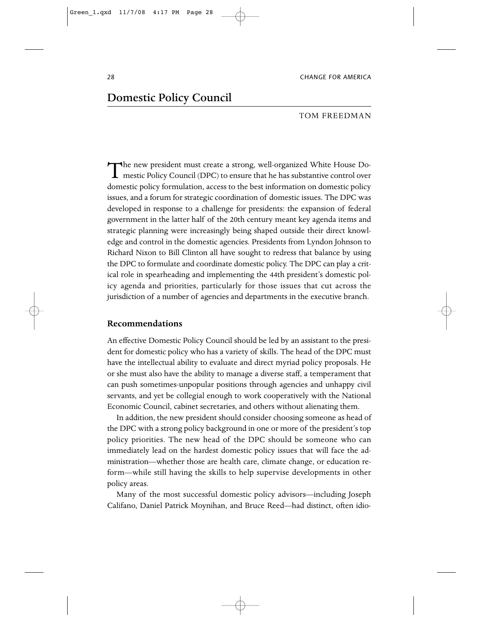# Domestic Policy Council

## Tom Freedman

The new president must create a strong, well-organized White House Do-<br>mestic Policy Council (DPC) to ensure that he has substantive control over domestic policy formulation, access to the best information on domestic policy issues, and a forum for strategic coordination of domestic issues. The DPC was developed in response to a challenge for presidents: the expansion of federal government in the latter half of the 20th century meant key agenda items and strategic planning were increasingly being shaped outside their direct knowledge and control in the domestic agencies. Presidents from Lyndon Johnson to Richard Nixon to Bill Clinton all have sought to redress that balance by using the DPC to formulate and coordinate domestic policy. The DPC can play a critical role in spearheading and implementing the 44th president's domestic policy agenda and priorities, particularly for those issues that cut across the jurisdiction of a number of agencies and departments in the executive branch.

# **Recommendations**

An effective Domestic Policy Council should be led by an assistant to the president for domestic policy who has a variety of skills. The head of the DPC must have the intellectual ability to evaluate and direct myriad policy proposals. He or she must also have the ability to manage a diverse staff, a temperament that can push sometimes-unpopular positions through agencies and unhappy civil servants, and yet be collegial enough to work cooperatively with the National Economic Council, cabinet secretaries, and others without alienating them.

In addition, the new president should consider choosing someone as head of the DPC with a strong policy background in one or more of the president's top policy priorities. The new head of the DPC should be someone who can immediately lead on the hardest domestic policy issues that will face the administration—whether those are health care, climate change, or education reform—while still having the skills to help supervise developments in other policy areas.

Many of the most successful domestic policy advisors—including Joseph Califano, Daniel Patrick Moynihan, and Bruce Reed—had distinct, often idio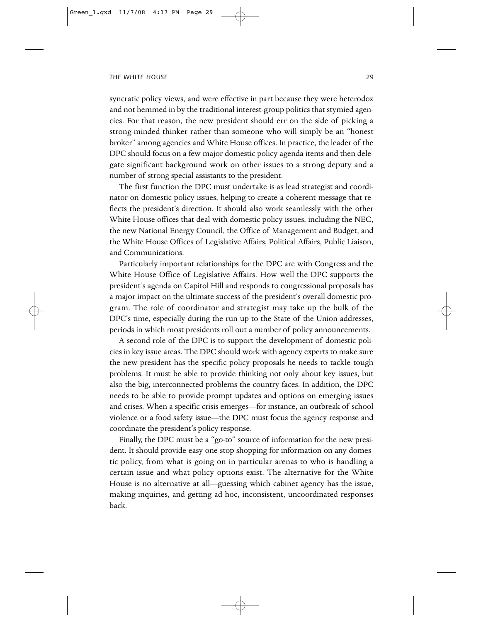syncratic policy views, and were effective in part because they were heterodox and not hemmed in by the traditional interest-group politics that stymied agencies. For that reason, the new president should err on the side of picking a strong-minded thinker rather than someone who will simply be an "honest broker" among agencies and White House offices. In practice, the leader of the DPC should focus on a few major domestic policy agenda items and then delegate significant background work on other issues to a strong deputy and a number of strong special assistants to the president.

The first function the DPC must undertake is as lead strategist and coordinator on domestic policy issues, helping to create a coherent message that reflects the president's direction. It should also work seamlessly with the other White House offices that deal with domestic policy issues, including the NEC, the new National Energy Council, the Office of Management and Budget, and the White House Offices of Legislative Affairs, Political Affairs, Public Liaison, and Communications.

Particularly important relationships for the DPC are with Congress and the White House Office of Legislative Affairs. How well the DPC supports the president's agenda on Capitol Hill and responds to congressional proposals has a major impact on the ultimate success of the president's overall domestic program. The role of coordinator and strategist may take up the bulk of the DPC's time, especially during the run up to the State of the Union addresses, periods in which most presidents roll out a number of policy announcements.

A second role of the DPC is to support the development of domestic policies in key issue areas. The DPC should work with agency experts to make sure the new president has the specific policy proposals he needs to tackle tough problems. It must be able to provide thinking not only about key issues, but also the big, interconnected problems the country faces. In addition, the DPC needs to be able to provide prompt updates and options on emerging issues and crises. When a specific crisis emerges—for instance, an outbreak of school violence or a food safety issue—the DPC must focus the agency response and coordinate the president's policy response.

Finally, the DPC must be a "go-to" source of information for the new president. It should provide easy one-stop shopping for information on any domestic policy, from what is going on in particular arenas to who is handling a certain issue and what policy options exist. The alternative for the White House is no alternative at all—guessing which cabinet agency has the issue, making inquiries, and getting ad hoc, inconsistent, uncoordinated responses back.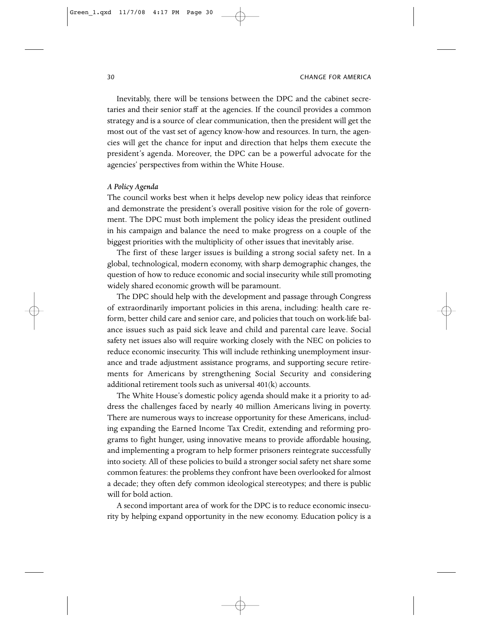Inevitably, there will be tensions between the DPC and the cabinet secretaries and their senior staff at the agencies. If the council provides a common strategy and is a source of clear communication, then the president will get the most out of the vast set of agency know-how and resources. In turn, the agencies will get the chance for input and direction that helps them execute the president's agenda. Moreover, the DPC can be a powerful advocate for the agencies' perspectives from within the White House.

#### *A Policy Agenda*

The council works best when it helps develop new policy ideas that reinforce and demonstrate the president's overall positive vision for the role of government. The DPC must both implement the policy ideas the president outlined in his campaign and balance the need to make progress on a couple of the biggest priorities with the multiplicity of other issues that inevitably arise.

The first of these larger issues is building a strong social safety net. In a global, technological, modern economy, with sharp demographic changes, the question of how to reduce economic and social insecurity while still promoting widely shared economic growth will be paramount.

The DPC should help with the development and passage through Congress of extraordinarily important policies in this arena, including: health care reform, better child care and senior care, and policies that touch on work-life balance issues such as paid sick leave and child and parental care leave. Social safety net issues also will require working closely with the NEC on policies to reduce economic insecurity. This will include rethinking unemployment insurance and trade adjustment assistance programs, and supporting secure retirements for Americans by strengthening Social Security and considering additional retirement tools such as universal 401(k) accounts.

The White House's domestic policy agenda should make it a priority to address the challenges faced by nearly 40 million Americans living in poverty. There are numerous ways to increase opportunity for these Americans, including expanding the Earned Income Tax Credit, extending and reforming programs to fight hunger, using innovative means to provide affordable housing, and implementing a program to help former prisoners reintegrate successfully into society. All of these policies to build a stronger social safety net share some common features: the problems they confront have been overlooked for almost a decade; they often defy common ideological stereotypes; and there is public will for bold action.

A second important area of work for the DPC is to reduce economic insecurity by helping expand opportunity in the new economy. Education policy is a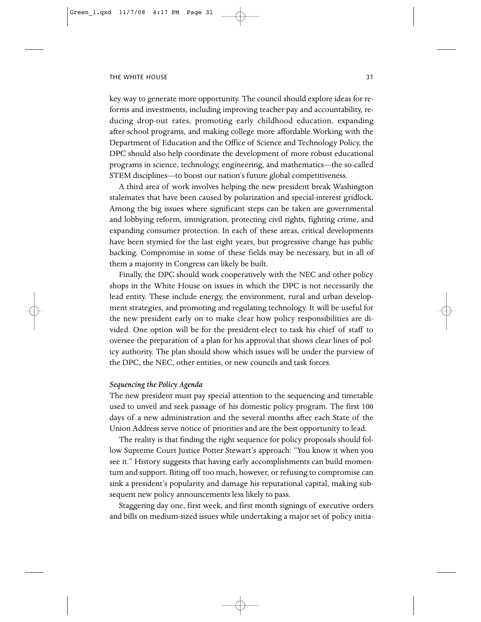key way to generate more opportunity. The council should explore ideas for reforms and investments, including improving teacher pay and accountability, reducing drop-out rates, promoting early childhood education, expanding after-school programs, and making college more affordable.Working with the Department of Education and the Office of Science and Technology Policy, the DPC should also help coordinate the development of more robust educational programs in science, technology, engineering, and mathematics—the so-called STEM disciplines—to boost our nation's future global competitiveness.

A third area of work involves helping the new president break Washington stalemates that have been caused by polarization and special-interest gridlock. Among the big issues where significant steps can be taken are governmental and lobbying reform, immigration, protecting civil rights, fighting crime, and expanding consumer protection. In each of these areas, critical developments have been stymied for the last eight years, but progressive change has public backing. Compromise in some of these fields may be necessary, but in all of them a majority in Congress can likely be built.

Finally, the DPC should work cooperatively with the NEC and other policy shops in the White House on issues in which the DPC is not necessarily the lead entity. These include energy, the environment, rural and urban development strategies, and promoting and regulating technology. It will be useful for the new president early on to make clear how policy responsibilities are divided. One option will be for the president-elect to task his chief of staff to oversee the preparation of a plan for his approval that shows clear lines of policy authority. The plan should show which issues will be under the purview of the DPC, the NEC, other entities, or new councils and task forces.

### *Sequencing the Policy Agenda*

The new president must pay special attention to the sequencing and timetable used to unveil and seek passage of his domestic policy program. The first 100 days of a new administration and the several months after each State of the Union Address serve notice of priorities and are the best opportunity to lead.

The reality is that finding the right sequence for policy proposals should follow Supreme Court Justice Potter Stewart's approach: "You know it when you see it." History suggests that having early accomplishments can build momentum and support. Biting off too much, however, or refusing to compromise can sink a president's popularity and damage his reputational capital, making subsequent new policy announcements less likely to pass.

Staggering day one, first week, and first month signings of executive orders and bills on medium-sized issues while undertaking a major set of policy initia